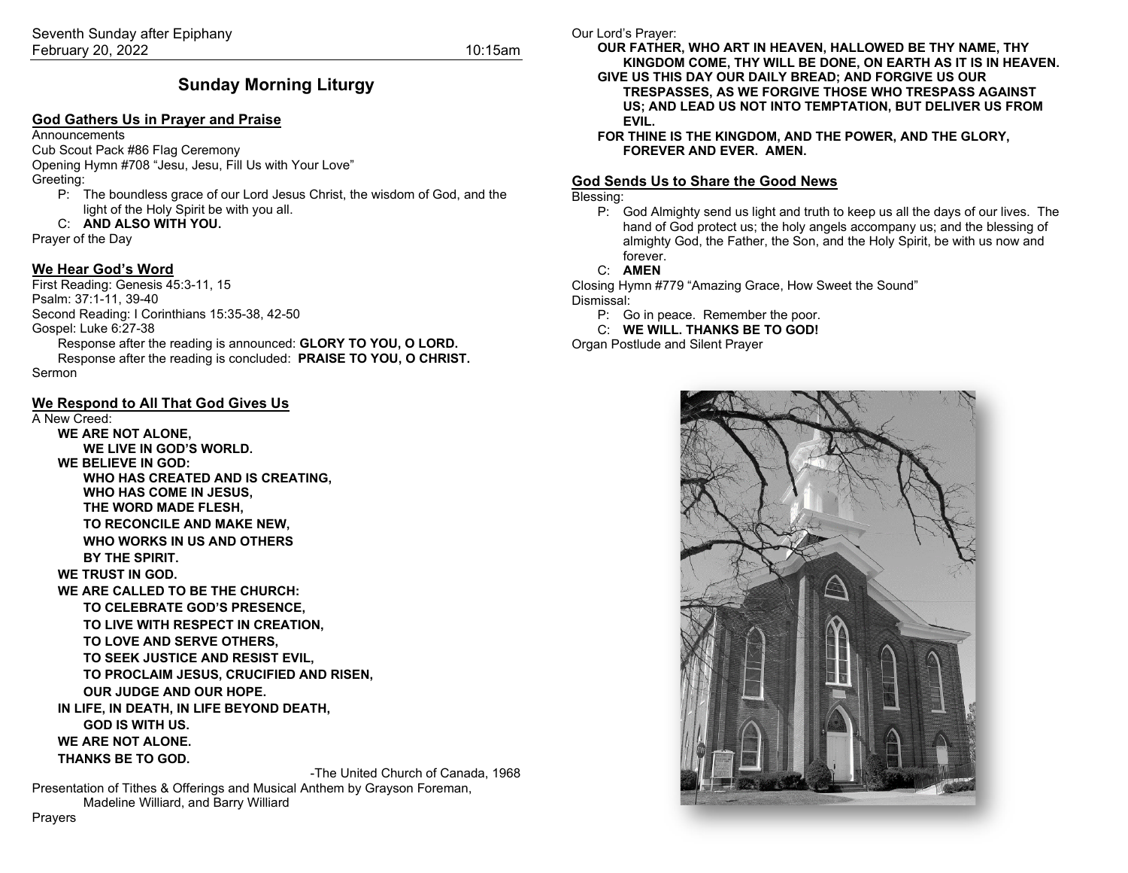### **Sunday Morning Liturgy**

#### **God Gathers Us in Prayer and Praise**

**Announcements** 

Cub Scout Pack #86 Flag Ceremony

Opening Hymn #708 "Jesu, Jesu, Fill Us with Your Love" Greeting:

P: The boundless grace of our Lord Jesus Christ, the wisdom of God, and the light of the Holy Spirit be with you all.

#### C: **AND ALSO WITH YOU.**

Prayer of the Day

#### **We Hear God's Word**

First Reading: Genesis 45:3-11, 15 Psalm: 37:1-11, 39-40 Second Reading: I Corinthians 15:35-38, 42-50 Gospel: Luke 6:27-38 Response after the reading is announced: **GLORY TO YOU, O LORD.** Response after the reading is concluded: **PRAISE TO YOU, O CHRIST.** Sermon

#### **We Respond to All That God Gives Us**

#### A New Creed:

**WE ARE NOT ALONE, WE LIVE IN GOD'S WORLD. WE BELIEVE IN GOD: WHO HAS CREATED AND IS CREATING, WHO HAS COME IN JESUS, THE WORD MADE FLESH, TO RECONCILE AND MAKE NEW, WHO WORKS IN US AND OTHERS BY THE SPIRIT.**

**WE TRUST IN GOD.**

**WE ARE CALLED TO BE THE CHURCH:**

**TO CELEBRATE GOD'S PRESENCE,**

**TO LIVE WITH RESPECT IN CREATION,**

**TO LOVE AND SERVE OTHERS,**

**TO SEEK JUSTICE AND RESIST EVIL,**

**TO PROCLAIM JESUS, CRUCIFIED AND RISEN,**

**OUR JUDGE AND OUR HOPE.**

**IN LIFE, IN DEATH, IN LIFE BEYOND DEATH, GOD IS WITH US.**

**WE ARE NOT ALONE.**

**THANKS BE TO GOD.**

-The United Church of Canada, 1968

Presentation of Tithes & Offerings and Musical Anthem by Grayson Foreman, Madeline Williard, and Barry Williard

Our Lord's Prayer:

**OUR FATHER, WHO ART IN HEAVEN, HALLOWED BE THY NAME, THY KINGDOM COME, THY WILL BE DONE, ON EARTH AS IT IS IN HEAVEN. GIVE US THIS DAY OUR DAILY BREAD; AND FORGIVE US OUR TRESPASSES, AS WE FORGIVE THOSE WHO TRESPASS AGAINST US; AND LEAD US NOT INTO TEMPTATION, BUT DELIVER US FROM EVIL.**

**FOR THINE IS THE KINGDOM, AND THE POWER, AND THE GLORY, FOREVER AND EVER. AMEN.**

#### **God Sends Us to Share the Good News**

#### Blessing:

P: God Almighty send us light and truth to keep us all the days of our lives. The hand of God protect us; the holy angels accompany us; and the blessing of almighty God, the Father, the Son, and the Holy Spirit, be with us now and forever.

#### C: **AMEN**

Closing Hymn #779 "Amazing Grace, How Sweet the Sound" Dismissal:

P: Go in peace. Remember the poor.

C: **WE WILL. THANKS BE TO GOD!**

Organ Postlude and Silent Prayer



Prayers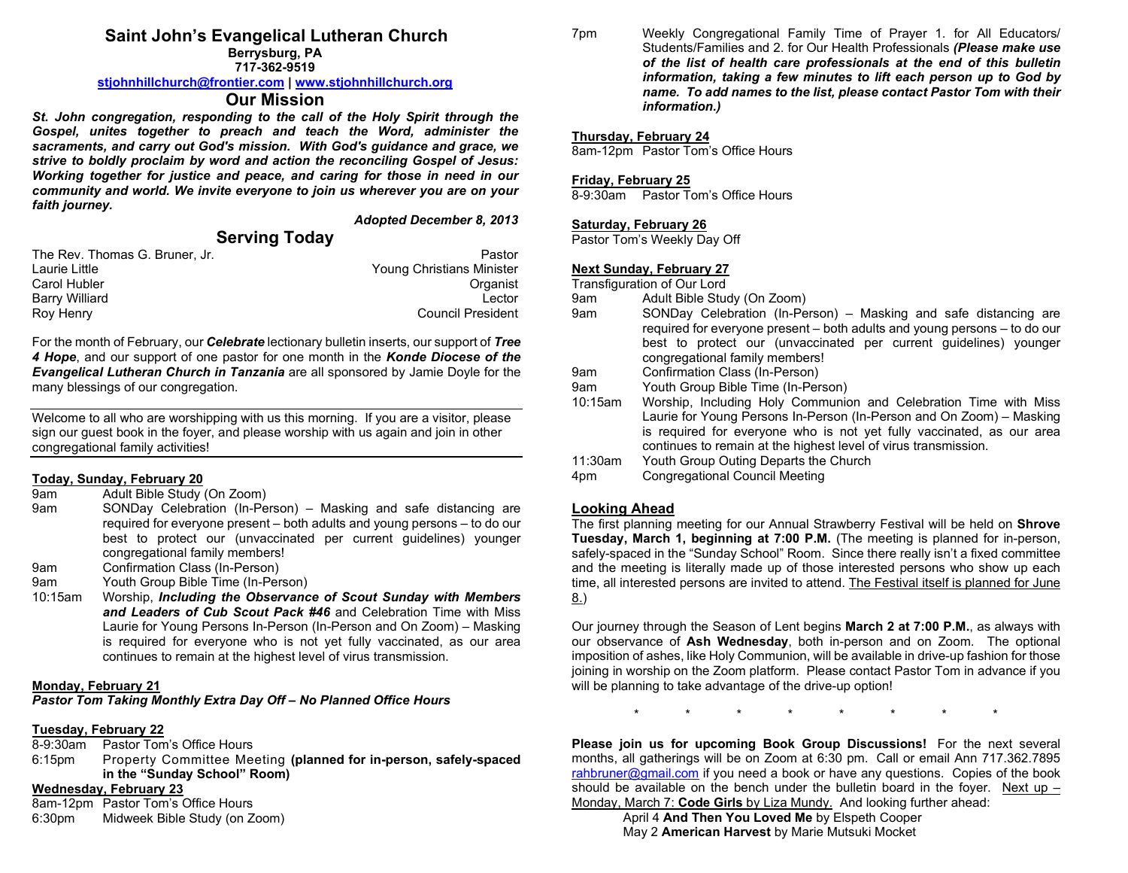## **Saint John's Evangelical Lutheran Church**

**Berrysburg, PA 717-362-9519**

#### **[stjohnhillchurch@frontier.com](mailto:stjohnhillchurch@frontier.com) | [www.stjohnhillchurch.org](http://www.stjohnhillchurch.org/)**

#### **Our Mission**

*St. John congregation, responding to the call of the Holy Spirit through the Gospel, unites together to preach and teach the Word, administer the sacraments, and carry out God's mission. With God's guidance and grace, we strive to boldly proclaim by word and action the reconciling Gospel of Jesus: Working together for justice and peace, and caring for those in need in our community and world. We invite everyone to join us wherever you are on your faith journey.*

*Adopted December 8, 2013*

### **Serving Today**

| The Rev. Thomas G. Bruner. Jr. | Pastor                    |
|--------------------------------|---------------------------|
| Laurie Little                  | Young Christians Minister |
| Carol Hubler                   | Organist                  |
| Barry Williard                 | I ector                   |
| Roy Henry                      | <b>Council President</b>  |

For the month of February, our *Celebrate* lectionary bulletin inserts, our support of *Tree 4 Hope*, and our support of one pastor for one month in the *Konde Diocese of the Evangelical Lutheran Church in Tanzania* are all sponsored by Jamie Doyle for the many blessings of our congregation.

Welcome to all who are worshipping with us this morning. If you are a visitor, please sign our guest book in the foyer, and please worship with us again and join in other congregational family activities!

# **Today, Sunday, February 20**

Adult Bible Study (On Zoom)

- 9am SONDay Celebration (In-Person) Masking and safe distancing are required for everyone present – both adults and young persons – to do our best to protect our (unvaccinated per current guidelines) younger congregational family members!
- 9am Confirmation Class (In-Person)<br>9am Youth Group Bible Time (In-Pers
- Youth Group Bible Time (In-Person)
- 10:15am Worship, *Including the Observance of Scout Sunday with Members and Leaders of Cub Scout Pack #46* and Celebration Time with Miss Laurie for Young Persons In-Person (In-Person and On Zoom) – Masking is required for everyone who is not yet fully vaccinated, as our area continues to remain at the highest level of virus transmission.

#### **Monday, February 21**

*Pastor Tom Taking Monthly Extra Day Off – No Planned Office Hours*

# **Tuesday, February 22**

- Pastor Tom's Office Hours
- 6:15pm Property Committee Meeting **(planned for in-person, safely-spaced in the "Sunday School" Room)**

#### **Wednesday, February 23**

8am-12pm Pastor Tom's Office Hours 6:30pm Midweek Bible Study (on Zoom) 7pm Weekly Congregational Family Time of Prayer 1. for All Educators/ Students/Families and 2. for Our Health Professionals *(Please make use of the list of health care professionals at the end of this bulletin information, taking a few minutes to lift each person up to God by name. To add names to the list, please contact Pastor Tom with their information.)*

#### **Thursday, February 24**

8am-12pm Pastor Tom's Office Hours

#### **Friday, February 25**

8-9:30am Pastor Tom's Office Hours

#### **Saturday, February 26**

Pastor Tom's Weekly Day Off

#### **Next Sunday, February 27**

Transfiguration of Our Lord

- 9am Adult Bible Study (On Zoom)
- 9am SONDay Celebration (In-Person) Masking and safe distancing are required for everyone present – both adults and young persons – to do our best to protect our (unvaccinated per current guidelines) younger congregational family members!
- 9am Confirmation Class (In-Person)
- 9am Youth Group Bible Time (In-Person)
- 10:15am Worship, Including Holy Communion and Celebration Time with Miss Laurie for Young Persons In-Person (In-Person and On Zoom) – Masking is required for everyone who is not yet fully vaccinated, as our area continues to remain at the highest level of virus transmission.
- 11:30am Youth Group Outing Departs the Church<br>4pm Congregational Council Meeting

Congregational Council Meeting

#### **Looking Ahead**

The first planning meeting for our Annual Strawberry Festival will be held on **Shrove Tuesday, March 1, beginning at 7:00 P.M.** (The meeting is planned for in-person, safely-spaced in the "Sunday School" Room. Since there really isn't a fixed committee and the meeting is literally made up of those interested persons who show up each time, all interested persons are invited to attend. The Festival itself is planned for June 8.)

Our journey through the Season of Lent begins **March 2 at 7:00 P.M.**, as always with our observance of **Ash Wednesday**, both in-person and on Zoom. The optional imposition of ashes, like Holy Communion, will be available in drive-up fashion for those joining in worship on the Zoom platform. Please contact Pastor Tom in advance if you will be planning to take advantage of the drive-up option!

\* \* \* \* \* \* \* \*

**Please join us for upcoming Book Group Discussions!** For the next several months, all gatherings will be on Zoom at 6:30 pm. Call or email Ann 717.362.7895 [rahbruner@gmail.com](mailto:rahbruner@gmail.com) if you need a book or have any questions. Copies of the book should be available on the bench under the bulletin board in the foyer. Next up  $-$ Monday, March 7: **Code Girls** by Liza Mundy. And looking further ahead:

April 4 **And Then You Loved Me** by Elspeth Cooper May 2 **American Harvest** by Marie Mutsuki Mocket